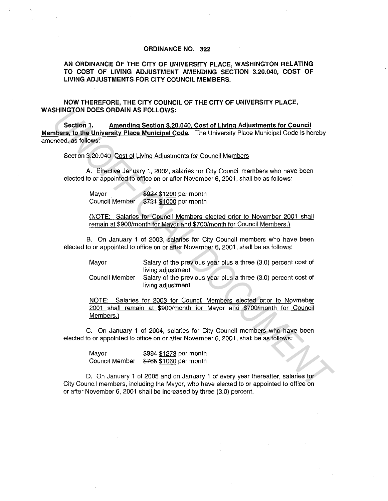## **ORDINANCE NO. 322**

**AN ORDINANCE OF THE CITY OF UNIVERSITY PLACE, WASHINGTON RELATING TO COST OF LIVING ADJUSTMENT AMENDING SECTION 3.20.040, COST OF LIVING ADJUSTMENTS FOR CITY COUNCIL MEMBERS.** 

**NOW THEREFORE, THE CITY COUNCIL OF THE CITY OF UNIVERSITY PLACE, WASHINGTON DOES ORDAIN AS FOLLOWS:** 

**Section 1. Amending Section 3.20.040. Cost of Living Adjustments for Council Members. to the University Place Municipal Code.** The University Place Municipal Code is hereby amended, as follows: SHINGTON DOES ORDAIN AS FOLLOWS:<br>
Section 1. <u>Amending Section 3.20.040, Cost of Living Adjustments for Council<br>
IDSection 3.20.040, Clause Municipal Code. The University Place Municipal Code is hereby<br>
Section 3.20.040 Co</u>

Section 3.20.040 Cost of Living Adjustments for Council Members

A. Effective January 1, 2002, salaries for City Council members who have been elected to or appointed to office on or after November 6, 2001, shall be as follows:

Mayor Council Member \$927 \$1200 per month \$721 \$1000 per month

(NOTE: Salaries for Council Members elected prior to November 2001 shall remain at \$900/month for Mayor and \$700/month for Council Members.)

B. On January 1 of 2003, salaries for City Council members who have been elected to or appointed to office on or after November 6, 2001, shall be as follows:

Mayor Salary of the previous year plus a three (3.0) percent cost of living adjustment

Council Member Salary of the previous year plus a three (3.0) percent cost of living adjustment

NOTE: Salaries for 2003 for Council Members elected prior to Novmeber 2001 shall remain at \$900/month for Mayor and \$700/month for Council Members.)

C. On January 1 of 2004, salaries for City Council members who have been elected to or appointed to office on or after November 6, 2001, shall be as follows:

Mayor **\$984** \$1273 per month Council Member \$765 \$1060 per month

D. On January 1 of 2005 and on January 1 of every year thereafter, salaries for City Council members, including the Mayor, who have elected to or appointed to office on or after November 6, 2001 shall be increased by three (3.0) percent.